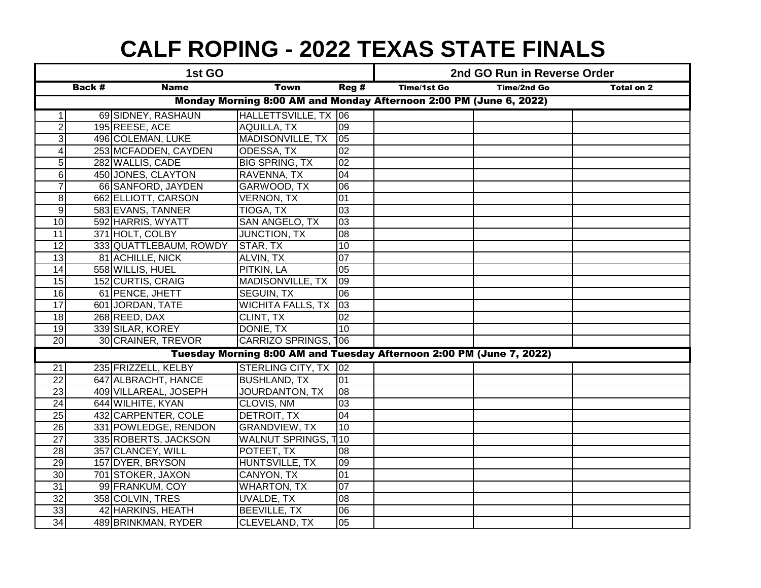## **CALF ROPING - 2022 TEXAS STATE FINALS**

| 1st GO                                                               |        |                        |                            | 2nd GO Run in Reverse Order |             |                    |                   |
|----------------------------------------------------------------------|--------|------------------------|----------------------------|-----------------------------|-------------|--------------------|-------------------|
|                                                                      | Back # | <b>Name</b>            | <b>Town</b>                | Reg#                        | Time/1st Go | <b>Time/2nd Go</b> | <b>Total on 2</b> |
| Monday Morning 8:00 AM and Monday Afternoon 2:00 PM (June 6, 2022)   |        |                        |                            |                             |             |                    |                   |
| $\mathbf{1}$                                                         |        | 69 SIDNEY, RASHAUN     | HALLETTSVILLE, TX 06       |                             |             |                    |                   |
| $\overline{2}$                                                       |        | 195 REESE, ACE         | <b>AQUILLA, TX</b>         | 09                          |             |                    |                   |
| 3                                                                    |        | 496 COLEMAN, LUKE      | <b>MADISONVILLE, TX</b>    | $\overline{05}$             |             |                    |                   |
| $\overline{\mathbf{4}}$                                              |        | 253 MCFADDEN, CAYDEN   | ODESSA, TX                 | 02                          |             |                    |                   |
| $\overline{5}$                                                       |        | 282 WALLIS, CADE       | <b>BIG SPRING, TX</b>      | 02                          |             |                    |                   |
| $6 \,$                                                               |        | 450 JONES, CLAYTON     | RAVENNA, TX                | $\overline{04}$             |             |                    |                   |
| $\overline{7}$                                                       |        | 66 SANFORD, JAYDEN     | GARWOOD, TX                | $\overline{00}$             |             |                    |                   |
| 8                                                                    |        | 662 ELLIOTT, CARSON    | <b>VERNON, TX</b>          | 01                          |             |                    |                   |
| $\overline{9}$                                                       |        | 583 EVANS, TANNER      | <b>TIOGA, TX</b>           | 03                          |             |                    |                   |
| 10                                                                   |        | 592 HARRIS, WYATT      | SAN ANGELO, TX             | 03                          |             |                    |                   |
| 11                                                                   |        | 371 HOLT, COLBY        | <b>JUNCTION, TX</b>        | 08                          |             |                    |                   |
| 12                                                                   |        | 333 QUATTLEBAUM, ROWDY | STAR, TX                   | 10                          |             |                    |                   |
| $\overline{13}$                                                      |        | 81 ACHILLE, NICK       | ALVIN, TX                  | $\overline{07}$             |             |                    |                   |
| $\overline{14}$                                                      |        | 558 WILLIS, HUEL       | <b>PITKIN, LA</b>          | 05                          |             |                    |                   |
| 15                                                                   |        | 152 CURTIS, CRAIG      | MADISONVILLE, TX           | 09                          |             |                    |                   |
| 16                                                                   |        | 61 PENCE, JHETT        | <b>SEGUIN, TX</b>          | 06                          |             |                    |                   |
| $\overline{17}$                                                      |        | 601 JORDAN, TATE       | WICHITA FALLS, TX 03       |                             |             |                    |                   |
| $\overline{18}$                                                      |        | 268 REED, DAX          | CLINT, TX                  | 02                          |             |                    |                   |
| $\overline{19}$                                                      |        | 339 SILAR, KOREY       | DONIE, TX                  | 10                          |             |                    |                   |
| 20                                                                   |        | 30 CRAINER, TREVOR     | CARRIZO SPRINGS, 106       |                             |             |                    |                   |
| Tuesday Morning 8:00 AM and Tuesday Afternoon 2:00 PM (June 7, 2022) |        |                        |                            |                             |             |                    |                   |
| $\overline{21}$                                                      |        | 235 FRIZZELL, KELBY    | STERLING CITY, TX 02       |                             |             |                    |                   |
| $\overline{22}$                                                      |        | 647 ALBRACHT, HANCE    | <b>BUSHLAND, TX</b>        | 01                          |             |                    |                   |
| 23                                                                   |        | 409 VILLAREAL, JOSEPH  | <b>JOURDANTON, TX</b>      | 08                          |             |                    |                   |
| $\overline{24}$                                                      |        | 644 WILHITE, KYAN      | CLOVIS, NM                 | $\overline{03}$             |             |                    |                   |
| 25                                                                   |        | 432 CARPENTER, COLE    | <b>DETROIT, TX</b>         | 04                          |             |                    |                   |
| $\overline{26}$                                                      |        | 331 POWLEDGE, RENDON   | <b>GRANDVIEW, TX</b>       | 10                          |             |                    |                   |
| $\overline{27}$                                                      |        | 335 ROBERTS, JACKSON   | <b>WALNUT SPRINGS, T10</b> |                             |             |                    |                   |
| 28                                                                   |        | 357 CLANCEY, WILL      | POTEET, TX                 | 08                          |             |                    |                   |
| 29                                                                   |        | 157 DYER, BRYSON       | HUNTSVILLE, TX             | 09                          |             |                    |                   |
| 30                                                                   |        | 701 STOKER, JAXON      | CANYON, TX                 | $\overline{01}$             |             |                    |                   |
| $\overline{31}$                                                      |        | 99 FRANKUM, COY        | <b>WHARTON, TX</b>         | $\overline{07}$             |             |                    |                   |
| $\overline{32}$                                                      |        | 358 COLVIN, TRES       | <b>UVALDE, TX</b>          | $\overline{08}$             |             |                    |                   |
| 33                                                                   |        | 42 HARKINS, HEATH      | <b>BEEVILLE, TX</b>        | 06                          |             |                    |                   |
| 34                                                                   |        | 489 BRINKMAN, RYDER    | CLEVELAND, TX              | 05                          |             |                    |                   |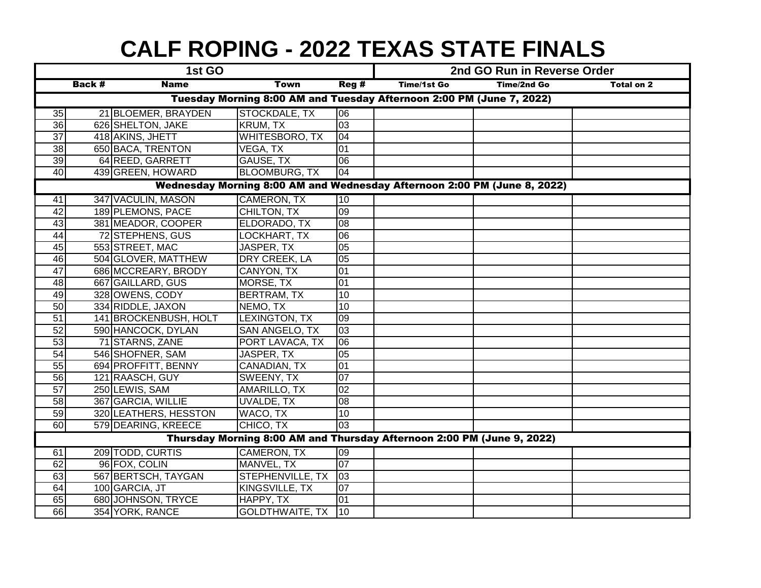## **CALF ROPING - 2022 TEXAS STATE FINALS**

| 1st GO                                                                   |                                                                      |                       |                        | 2nd GO Run in Reverse Order |             |                    |                   |  |
|--------------------------------------------------------------------------|----------------------------------------------------------------------|-----------------------|------------------------|-----------------------------|-------------|--------------------|-------------------|--|
|                                                                          | <b>Back #</b>                                                        | <b>Name</b>           | <b>Town</b>            | Reg#                        | Time/1st Go | <b>Time/2nd Go</b> | <b>Total on 2</b> |  |
|                                                                          | Tuesday Morning 8:00 AM and Tuesday Afternoon 2:00 PM (June 7, 2022) |                       |                        |                             |             |                    |                   |  |
| 35                                                                       |                                                                      | 21 BLOEMER, BRAYDEN   | STOCKDALE, TX          | 106                         |             |                    |                   |  |
| 36                                                                       |                                                                      | 626 SHELTON, JAKE     | <b>KRUM, TX</b>        | $\overline{03}$             |             |                    |                   |  |
| $\overline{37}$                                                          |                                                                      | 418 AKINS, JHETT      | <b>WHITESBORO, TX</b>  | 04                          |             |                    |                   |  |
| 38                                                                       |                                                                      | 650 BACA, TRENTON     | VEGA, TX               | 01                          |             |                    |                   |  |
| 39                                                                       |                                                                      | 64 REED, GARRETT      | <b>GAUSE, TX</b>       | 06                          |             |                    |                   |  |
| 40                                                                       |                                                                      | 439 GREEN, HOWARD     | <b>BLOOMBURG, TX</b>   | 04                          |             |                    |                   |  |
| Wednesday Morning 8:00 AM and Wednesday Afternoon 2:00 PM (June 8, 2022) |                                                                      |                       |                        |                             |             |                    |                   |  |
| 41                                                                       |                                                                      | 347 VACULIN, MASON    | <b>CAMERON, TX</b>     | 10                          |             |                    |                   |  |
| $\overline{42}$                                                          |                                                                      | 189 PLEMONS, PACE     | CHILTON, TX            | 09                          |             |                    |                   |  |
| $\overline{43}$                                                          |                                                                      | 381 MEADOR, COOPER    | ELDORADO, TX           | $\overline{80}$             |             |                    |                   |  |
| $\overline{44}$                                                          |                                                                      | 72 STEPHENS, GUS      | LOCKHART, TX           | 06                          |             |                    |                   |  |
| 45                                                                       |                                                                      | 553 STREET, MAC       | JASPER, TX             | 05                          |             |                    |                   |  |
| 46                                                                       |                                                                      | 504 GLOVER, MATTHEW   | DRY CREEK, LA          | $\overline{05}$             |             |                    |                   |  |
| 47                                                                       |                                                                      | 686 MCCREARY, BRODY   | CANYON, TX             | 01                          |             |                    |                   |  |
| $\overline{48}$                                                          |                                                                      | 667 GAILLARD, GUS     | MORSE, TX              | 01                          |             |                    |                   |  |
| 49                                                                       |                                                                      | 328 OWENS, CODY       | <b>BERTRAM, TX</b>     | 10                          |             |                    |                   |  |
| 50                                                                       |                                                                      | 334 RIDDLE, JAXON     | NEMO, TX               | 10                          |             |                    |                   |  |
| $\overline{51}$                                                          |                                                                      | 141 BROCKENBUSH, HOLT | LEXINGTON, TX          | 09                          |             |                    |                   |  |
| $\overline{52}$                                                          |                                                                      | 590 HANCOCK, DYLAN    | <b>SAN ANGELO, TX</b>  | $\overline{03}$             |             |                    |                   |  |
| $\overline{53}$                                                          |                                                                      | 71 STARNS, ZANE       | PORT LAVACA, TX        | $\overline{00}$             |             |                    |                   |  |
| $\overline{54}$                                                          |                                                                      | 546 SHOFNER, SAM      | JASPER, TX             | 05                          |             |                    |                   |  |
| 55                                                                       |                                                                      | 694 PROFFITT, BENNY   | <b>CANADIAN, TX</b>    | 01                          |             |                    |                   |  |
| 56                                                                       |                                                                      | 121 RAASCH, GUY       | SWEENY, TX             | $\overline{07}$             |             |                    |                   |  |
| $\overline{57}$                                                          |                                                                      | 250 LEWIS, SAM        | AMARILLO, TX           | 02                          |             |                    |                   |  |
| $\overline{58}$                                                          |                                                                      | 367 GARCIA, WILLIE    | <b>UVALDE, TX</b>      | 08                          |             |                    |                   |  |
| 59                                                                       |                                                                      | 320 LEATHERS, HESSTON | WACO, TX               | 10                          |             |                    |                   |  |
| 60                                                                       |                                                                      | 579 DEARING, KREECE   | CHICO, TX              | 03                          |             |                    |                   |  |
| Thursday Morning 8:00 AM and Thursday Afternoon 2:00 PM (June 9, 2022)   |                                                                      |                       |                        |                             |             |                    |                   |  |
| 61                                                                       |                                                                      | 209 TODD, CURTIS      | <b>CAMERON, TX</b>     | 09                          |             |                    |                   |  |
| 62                                                                       |                                                                      | 96 FOX, COLIN         | MANVEL, TX             | 07                          |             |                    |                   |  |
| 63                                                                       |                                                                      | 567 BERTSCH, TAYGAN   | STEPHENVILLE, TX       | $ 03\rangle$                |             |                    |                   |  |
| 64                                                                       |                                                                      | 100 GARCIA, JT        | KINGSVILLE, TX         | 07                          |             |                    |                   |  |
| 65                                                                       |                                                                      | 680 JOHNSON, TRYCE    | HAPPY, TX              | 01                          |             |                    |                   |  |
| 66                                                                       |                                                                      | 354 YORK, RANCE       | <b>GOLDTHWAITE, TX</b> | $\overline{110}$            |             |                    |                   |  |